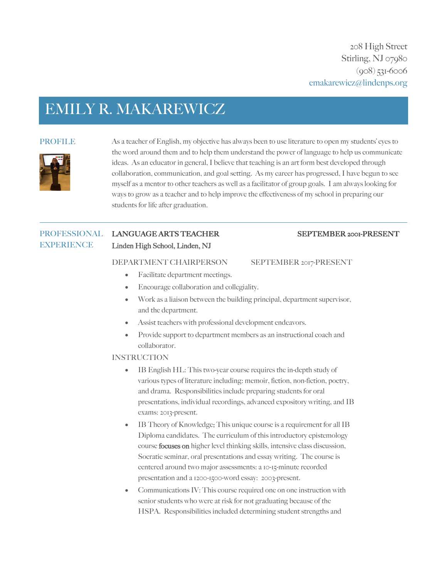# EMILY R. MAKAREWICZ



PROFILE As a teacher of English, my objective has always been to use literature to open my students' eyes to the word around them and to help them understand the power of language to help us communicate ideas. As an educator in general, I believe that teaching is an art form best developed through collaboration, communication, and goal setting. As my career has progressed, I have begun to see myself as a mentor to other teachers as well as a facilitator of group goals. I am always looking for ways to grow as a teacher and to help improve the effectiveness of my school in preparing our students for life after graduation.

#### PROFESSIONAL LANGUAGE ARTS TEACHER SEPTEMBER 2001-PRESENT **EXPERIENCE** Linden High School, Linden, NJ

#### DEPARTMENT CHAIRPERSON SEPTEMBER 2017-PRESENT

- Facilitate department meetings.
- Encourage collaboration and collegiality.
- Work as a liaison between the building principal, department supervisor, and the department.
- Assist teachers with professional development endeavors.
- Provide support to department members as an instructional coach and collaborator.

## **INSTRUCTION**

- IB English HL: This two-year course requires the in-depth study of various types of literature including: memoir, fiction, non-fiction, poetry, and drama. Responsibilities include preparing students for oral presentations, individual recordings, advanced expository writing, and IB exams: 2013-present.
- IB Theory of Knowledge: This unique course is a requirement for all IB Diploma candidates. The curriculum of this introductory epistemology course focuses on higher level thinking skills, intensive class discussion, Socratic seminar, oral presentations and essay writing. The course is centered around two major assessments: a 10-15-minute recorded presentation and a 1200-1500-word essay: 2003-present.
- Communications IV: This course required one on one instruction with senior students who were at risk for not graduating because of the HSPA. Responsibilities included determining student strengths and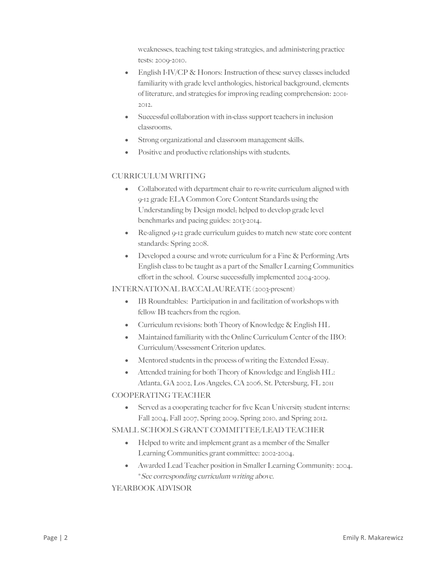weaknesses, teaching test taking strategies, and administering practice tests: 2009-2010.

- English I-IV/CP & Honors: Instruction of these survey classes included familiarity with grade level anthologies, historical background, elements of literature, and strategies for improving reading comprehension: 2001- 2012.
- Successful collaboration with in-class support teachers in inclusion classrooms.
- Strong organizational and classroom management skills.
- Positive and productive relationships with students.

# CURRICULUM WRITING

- Collaborated with department chair to re-write curriculum aligned with 9-12 grade ELA Common Core Content Standards using the Understanding by Design model; helped to develop grade level benchmarks and pacing guides: 2013-2014.
- Re-aligned 9-12 grade curriculum guides to match new state core content standards: Spring 2008.
- Developed a course and wrote curriculum for a Fine & Performing Arts English class to be taught as a part of the Smaller Learning Communities effort in the school. Course successfully implemented 2004-2009.

INTERNATIONAL BACCALAUREATE (2003-present)

- IB Roundtables: Participation in and facilitation of workshops with fellow IB teachers from the region.
- Curriculum revisions: both Theory of Knowledge & English HL
- Maintained familiarity with the Online Curriculum Center of the IBO: Curriculum/Assessment Criterion updates.
- Mentored students in the process of writing the Extended Essay.
- Attended training for both Theory of Knowledge and English HL: Atlanta, GA 2002, Los Angeles, CA 2006, St. Petersburg, FL 2011

# COOPERATING TEACHER

• Served as a cooperating teacher for five Kean University student interns: Fall 2004, Fall 2007, Spring 2009, Spring 2010, and Spring 2012.

## SMALL SCHOOLS GRANT COMMITTEE/LEAD TEACHER

- Helped to write and implement grant as a member of the Smaller Learning Communities grant committee: 2002-2004.
- Awarded Lead Teacher position in Smaller Learning Community: 2004. \*See corresponding curriculum writing above.

# YEARBOOK ADVISOR